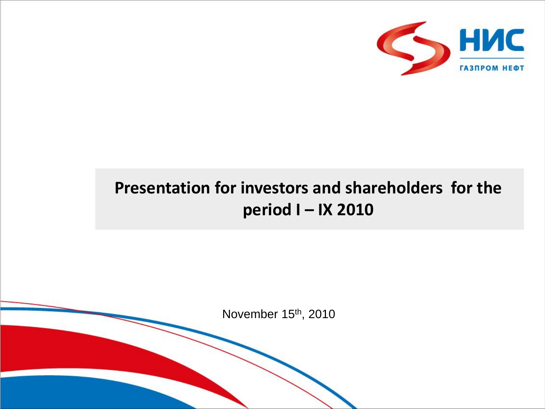

## **Presentation for investors and shareholders for the period I – IX 2010**

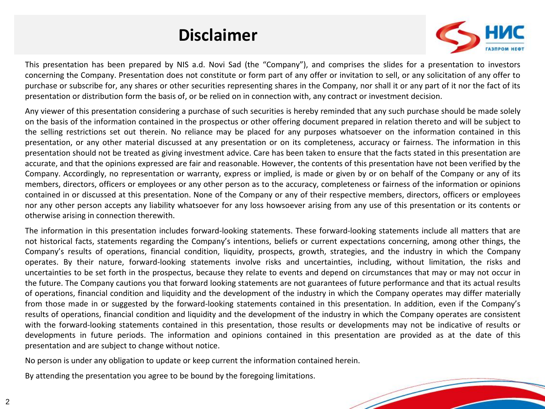## **Disclaimer**



This presentation has been prepared by NIS a.d. Novi Sad (the "Company"), and comprises the slides for a presentation to investors concerning the Company. Presentation does not constitute or form part of any offer or invitation to sell, or any solicitation of any offer to purchase or subscribe for, any shares or other securities representing shares in the Company, nor shall it or any part of it nor the fact of its presentation or distribution form the basis of, or be relied on in connection with, any contract or investment decision.

Any viewer of this presentation considering a purchase of such securities is hereby reminded that any such purchase should be made solely on the basis of the information contained in the prospectus or other offering document prepared in relation thereto and will be subject to the selling restrictions set out therein. No reliance may be placed for any purposes whatsoever on the information contained in this presentation, or any other material discussed at any presentation or on its completeness, accuracy or fairness. The information in this presentation should not be treated as giving investment advice. Care has been taken to ensure that the facts stated in this presentation are accurate, and that the opinions expressed are fair and reasonable. However, the contents of this presentation have not been verified by the Company. Accordingly, no representation or warranty, express or implied, is made or given by or on behalf of the Company or any of its members, directors, officers or employees or any other person as to the accuracy, completeness or fairness of the information or opinions contained in or discussed at this presentation. None of the Company or any of their respective members, directors, officers or employees nor any other person accepts any liability whatsoever for any loss howsoever arising from any use of this presentation or its contents or otherwise arising in connection therewith.

The information in this presentation includes forward-looking statements. These forward-looking statements include all matters that are not historical facts, statements regarding the Company's intentions, beliefs or current expectations concerning, among other things, the Company's results of operations, financial condition, liquidity, prospects, growth, strategies, and the industry in which the Company operates. By their nature, forward-looking statements involve risks and uncertainties, including, without limitation, the risks and uncertainties to be set forth in the prospectus, because they relate to events and depend on circumstances that may or may not occur in the future. The Company cautions you that forward looking statements are not guarantees of future performance and that its actual results of operations, financial condition and liquidity and the development of the industry in which the Company operates may differ materially from those made in or suggested by the forward-looking statements contained in this presentation. In addition, even if the Company's results of operations, financial condition and liquidity and the development of the industry in which the Company operates are consistent with the forward-looking statements contained in this presentation, those results or developments may not be indicative of results or developments in future periods. The information and opinions contained in this presentation are provided as at the date of this presentation and are subject to change without notice.

No person is under any obligation to update or keep current the information contained herein.

By attending the presentation you agree to be bound by the foregoing limitations.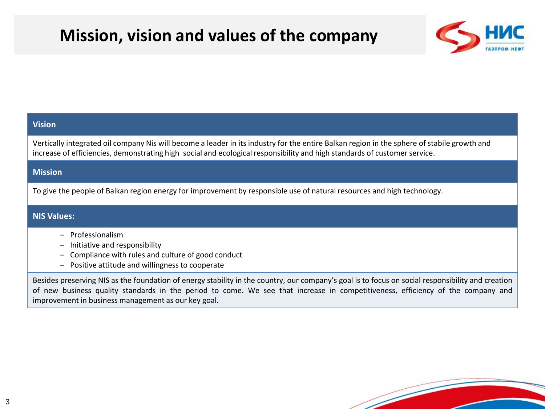## **Mission, vision and values of the company**



### **Vision**

Vertically integrated oil company Nis will become a leader in its industry for the entire Balkan region in the sphere of stabile growth and increase of efficiencies, demonstrating high social and ecological responsibility and high standards of customer service.

#### **Mission**

To give the people of Balkan region energy for improvement by responsible use of natural resources and high technology.

#### **NIS Values:**

- ‒ Professionalism
- ‒ Initiative and responsibility
- Compliance with rules and culture of good conduct
- ‒ Positive attitude and willingness to cooperate

Besides preserving NIS as the foundation of energy stability in the country, our company's goal is to focus on social responsibility and creation of new business quality standards in the period to come. We see that increase in competitiveness, efficiency of the company and improvement in business management as our key goal.

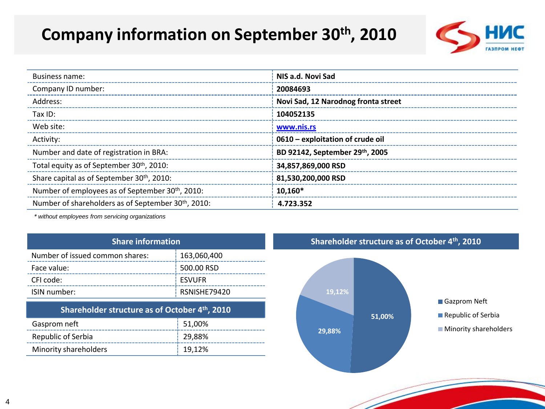## **Company information on September 30th, 2010**



| Business name:                                                  | NIS a.d. Novi Sad                   |
|-----------------------------------------------------------------|-------------------------------------|
| Company ID number:                                              | 20084693                            |
| Address:                                                        | Novi Sad, 12 Narodnog fronta street |
| Tax ID:                                                         | 104052135                           |
| Web site:                                                       | www.nis.rs                          |
| Activity:                                                       | 0610 – exploitation of crude oil    |
| Number and date of registration in BRA:                         | BD 92142, September 29th, 2005      |
| Total equity as of September 30 <sup>th</sup> , 2010:           | 34.857.869.000 RSD                  |
| Share capital as of September 30 <sup>th</sup> , 2010:          | 81,530,200,000 RSD                  |
| Number of employees as of September 30th, 2010:                 | $10,160*$                           |
| Number of shareholders as of September 30 <sup>th</sup> , 2010: | 4.723.352                           |

*\* without employees from servicing organizations*

| <b>Share information</b>                      |               |  |  |
|-----------------------------------------------|---------------|--|--|
| Number of issued common shares:               | 163,060,400   |  |  |
| Face value:                                   | 500.00 RSD    |  |  |
| CFI code:                                     | <b>ESVUFR</b> |  |  |
| ISIN number:                                  | RSNISHE79420  |  |  |
| Shareholder structure as of October 4th, 2010 |               |  |  |
| Cacprom noft                                  | E1 NOV        |  |  |

| Gasprom neft          | 51,00% |
|-----------------------|--------|
| Republic of Serbia    | 29,88% |
| Minority shareholders | 19.12% |

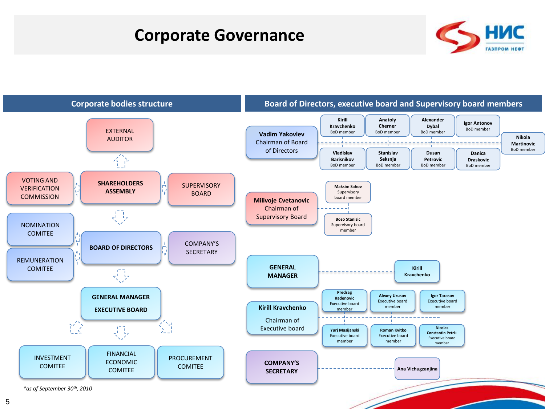### **Corporate Governance**



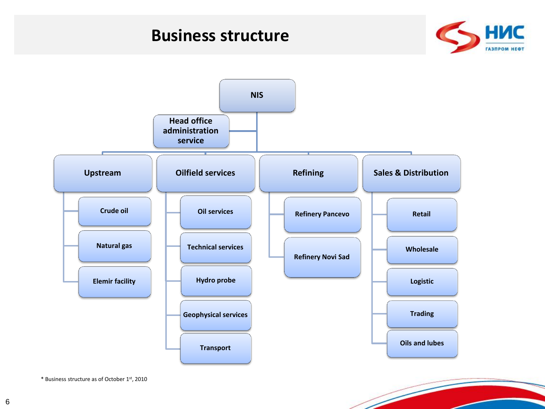### **Business structure**





\* Business structure as of October 1st, 2010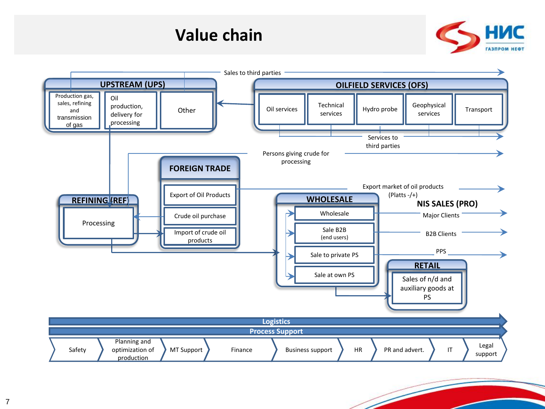### **Value chain**



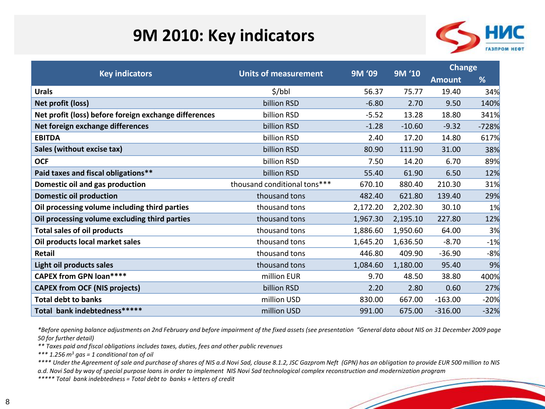## **9M 2010: Key indicators**



|                                                       | <b>Units of measurement</b><br><b>Key indicators</b> | 9M '09   | 9M '10   | <b>Change</b> |         |
|-------------------------------------------------------|------------------------------------------------------|----------|----------|---------------|---------|
|                                                       |                                                      |          |          | <b>Amount</b> | %       |
| <b>Urals</b>                                          | \$/bbl                                               | 56.37    | 75.77    | 19.40         | 34%     |
| Net profit (loss)                                     | billion RSD                                          | $-6.80$  | 2.70     | 9.50          | 140%    |
| Net profit (loss) before foreign exchange differences | billion RSD                                          | $-5.52$  | 13.28    | 18.80         | 341%    |
| Net foreign exchange differences                      | billion RSD                                          | $-1.28$  | $-10.60$ | $-9.32$       | $-728%$ |
| <b>EBITDA</b>                                         | billion RSD                                          | 2.40     | 17.20    | 14.80         | 617%    |
| Sales (without excise tax)                            | billion RSD                                          | 80.90    | 111.90   | 31.00         | 38%     |
| <b>OCF</b>                                            | billion RSD                                          | 7.50     | 14.20    | 6.70          | 89%     |
| Paid taxes and fiscal obligations**                   | billion RSD                                          | 55.40    | 61.90    | 6.50          | 12%     |
| Domestic oil and gas production                       | thousand conditional tons***                         | 670.10   | 880.40   | 210.30        | 31%     |
| <b>Domestic oil production</b>                        | thousand tons                                        | 482.40   | 621.80   | 139.40        | 29%     |
| Oil processing volume including third parties         | thousand tons                                        | 2,172.20 | 2,202.30 | 30.10         | 1%      |
| Oil processing volume excluding third parties         | thousand tons                                        | 1,967.30 | 2,195.10 | 227.80        | 12%     |
| <b>Total sales of oil products</b>                    | thousand tons                                        | 1,886.60 | 1,950.60 | 64.00         | 3%      |
| Oil products local market sales                       | thousand tons                                        | 1,645.20 | 1,636.50 | $-8.70$       | $-1%$   |
| Retail                                                | thousand tons                                        | 446.80   | 409.90   | $-36.90$      | $-8%$   |
| Light oil products sales                              | thousand tons                                        | 1,084.60 | 1,180.00 | 95.40         | 9%      |
| <b>CAPEX from GPN loan****</b>                        | million EUR                                          | 9.70     | 48.50    | 38.80         | 400%    |
| <b>CAPEX from OCF (NIS projects)</b>                  | billion RSD                                          | 2.20     | 2.80     | 0.60          | 27%     |
| <b>Total debt to banks</b>                            | million USD                                          | 830.00   | 667.00   | $-163.00$     | $-20%$  |
| Total bank indebtedness******                         | million USD                                          | 991.00   | 675.00   | $-316.00$     | $-32%$  |

*\*Before opening balance adjustments on 2nd February and before impairment of the fixed assets (see presentation "General data about NIS on 31 December 2009 page 50 for further detail)* 

*\*\* Taxes paid and fiscal obligations includes taxes, duties, fees and other public revenues*

*\*\*\* 1.256 m<sup>3</sup> gas = 1 conditional ton of oil*

*\*\*\*\* Under the Agreement of sale and purchase of shares of NIS a.d Novi Sad, clause 8.1.2, JSC Gazprom Neft (GPN) has an obligation to provide EUR 500 million to NIS a.d. Novi Sad by way of special purpose loans in order to implement NIS Novi Sad technological complex reconstruction and modernization program*

*\*\*\*\*\* Total bank indebtedness = Total debt to banks + letters of credit*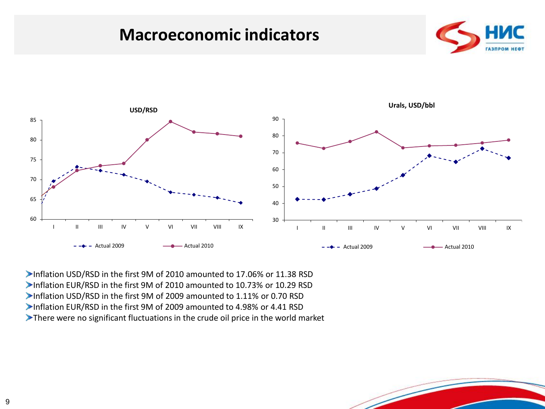### **Macroeconomic indicators**





Inflation USD/RSD in the first 9M of 2010 amounted to 17.06% or 11.38 RSD Inflation EUR/RSD in the first 9M of 2010 amounted to 10.73% or 10.29 RSD Inflation USD/RSD in the first 9M of 2009 amounted to 1.11% or 0.70 RSD Inflation EUR/RSD in the first 9M of 2009 amounted to 4.98% or 4.41 RSD There were no significant fluctuations in the crude oil price in the world market

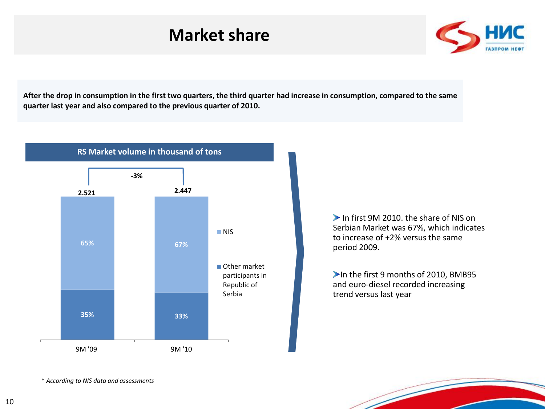### **Market share**



**After the drop in consumption in the first two quarters, the third quarter had increase in consumption, compared to the same quarter last year and also compared to the previous quarter of 2010.**



In first 9M 2010, the share of NIS on Serbian Market was 67%, which indicates to increase of +2% versus the same period 2009.

In the first 9 months of 2010, BMB95 and euro-diesel recorded increasing trend versus last year

\* *According to NIS data and assessments*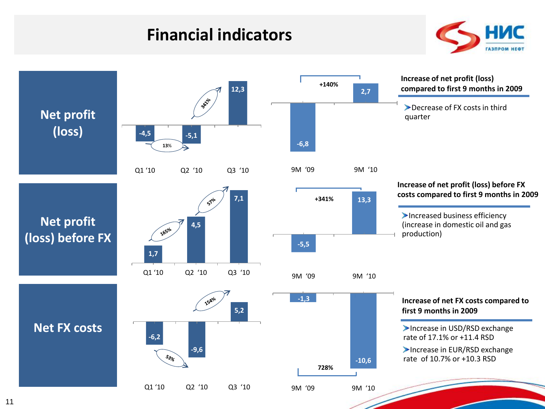### **Financial indicators**



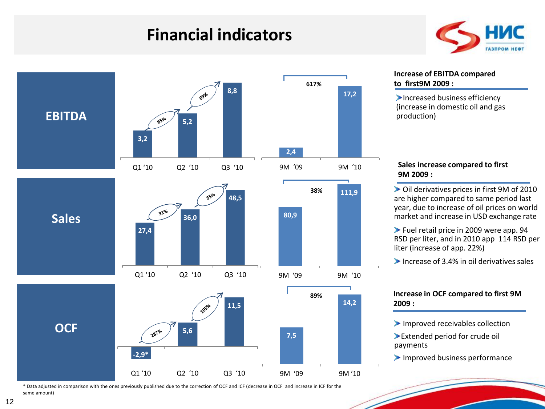### **Financial indicators**





#### **Increase of EBITDA compared to first9М 2009 :**

Increased business efficiency (increase in domestic oil and gas production)

### **Sales increase compared to first 9М 2009 :**

Oil derivatives prices in first 9M of 2010 are higher compared to same period last year, due to increase of oil prices on world market and increase in USD exchange rate

Fuel retail price in 2009 were app. 94 RSD per liter, and in 2010 app 114 RSD per liter (increase of app. 22%)

Increase of  $3.4\%$  in oil derivatives sales

#### **Increase in OCF compared to first 9М 2009 :**

Improved receivables collection

Extended period for crude oil payments

Improved business performance

\* Data adjusted in comparison with the ones previously published due to the correction of OCF and ICF (decrease in OCF and increase in ICF for the same amount)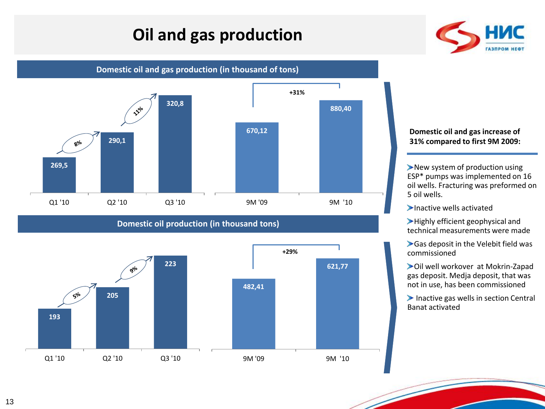## **Oil and gas production**



**Domestic oil and gas production (in thousand of tons)**



### **Domestic oil production (in thousand tons)**



#### **Domestic oil and gas increase of 31% compared to first 9M 2009:**

New system of production using ESP\* pumps was implemented on 16 oil wells. Fracturing was preformed on 5 oil wells.

Inactive wells activated

Highly efficient geophysical and technical measurements were made

Gas deposit in the Velebit field was commissioned

Oil well workover at Mokrin-Zapad gas deposit. Medja deposit, that was not in use, has been commissioned

Inactive gas wells in section Central Banat activated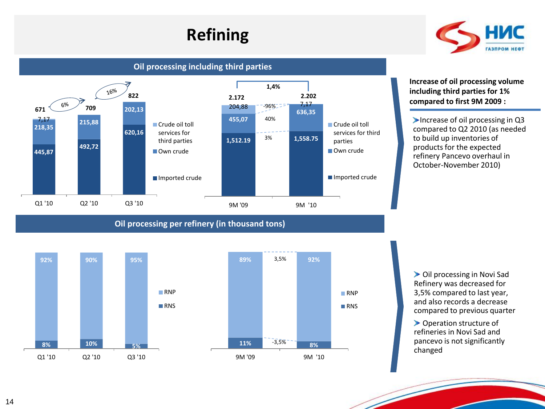## **Refining**



**Oil processing including third parties**



**Oil processing per refinery (in thousand tons)**



**Increase of oil processing volume including third parties for 1% compared to first 9M 2009 :**

Increase of oil processing in  $Q3$ compared to Q2 2010 (as needed to build up inventories of products for the expected refinery Pancevo overhaul in October-November 2010)

Oil processing in Novi Sad Refinery was decreased for 3,5% compared to last year, and also records a decrease compared to previous quarter

▶ Operation structure of refineries in Novi Sad and pancevo is not significantly changed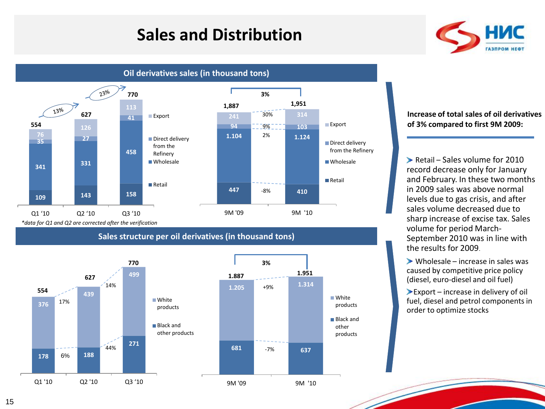## **Sales and Distribution**





**Oil derivatives sales (in thousand tons)**

#### **Increase of total sales of oil derivatives of 3% compared to first 9М 2009:**

Retail – Sales volume for  $2010$ record decrease only for January and February. In these two months in 2009 sales was above normal levels due to gas crisis, and after sales volume decreased due to sharp increase of excise tax. Sales volume for period March-September 2010 was in line with the results for 2009.

 $\triangleright$  Wholesale – increase in sales was caused by competitive price policy (diesel, euro-diesel and oil fuel)

Export – increase in delivery of oil fuel, diesel and petrol components in order to optimize stocks

**White** products **■Black and** other products



#### **Sales structure per oil derivatives (in thousand tons)**

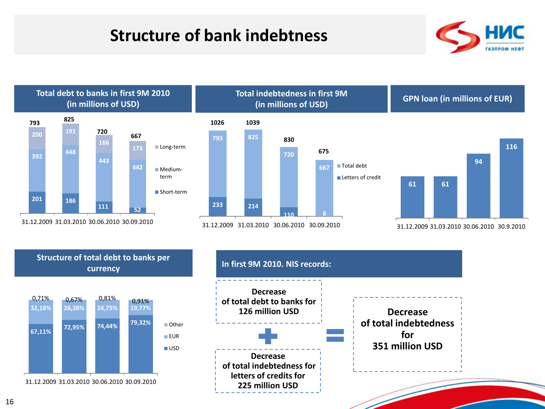## **Structure of bank indebtness**









31.12.2009 31.03.2010 30.06.2010 30.09.2010

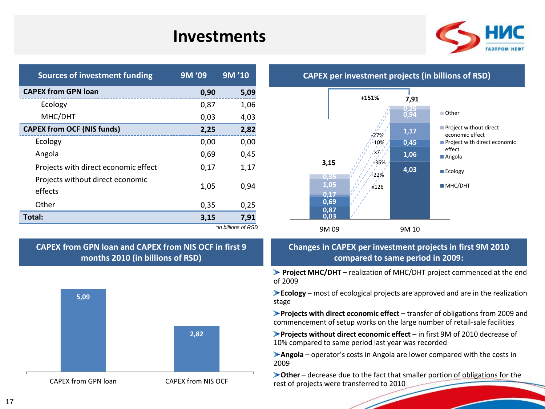### **Investments**



| <b>CAPEX from GPN loan</b><br>0,90<br>5,09                  |
|-------------------------------------------------------------|
| Ecology<br>0,87<br>1,06                                     |
| MHC/DHT<br>0,03<br>4,03                                     |
| <b>CAPEX from OCF (NIS funds)</b><br>2,82<br>2,25           |
| Ecology<br>0,00<br>0,00                                     |
| Angola<br>0,69<br>0,45                                      |
| Projects with direct economic effect<br>0,17<br>1,17        |
| Projects without direct economic<br>1,05<br>0,94<br>effects |
| Other<br>0,35<br>0,25                                       |
| Total:<br>7,91<br>3,15                                      |

*\*in billions of RSD*

### **CAPEX from GPN loan and CAPEX from NIS OCF in first 9 months 2010 (in billions of RSD)**





### **CAPEX per investment projects (in billions of RSD)**

### **Changes in CAPEX per investment projects in first 9М 2010 compared to same period in 2009:**

**Project MHC/DHT** – realization of MHC/DHT project commenced at the end of 2009

**Ecology** – most of ecological projects are approved and are in the realization stage

**Projects with direct economic effect** – transfer of obligations from 2009 and commencement of setup works on the large number of retail-sale facilities

**Projects without direct economic effect** – in first 9M of 2010 decrease of 10% compared to same period last year was recorded

**Angola** – operator's costs in Angola are lower compared with the costs in 2009

**Other** – decrease due to the fact that smaller portion of obligations for the rest of projects were transferred to 2010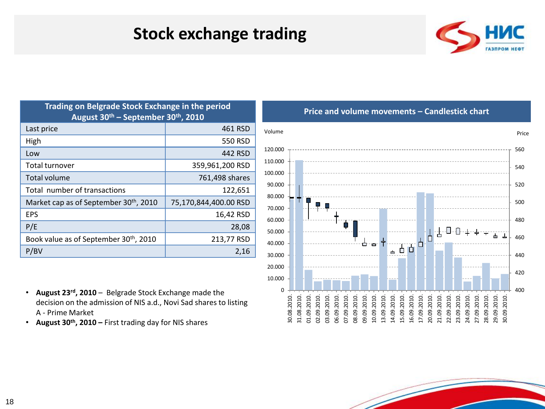### **Stock exchange trading**



| Trading on Belgrade Stock Exchange in the period<br>August 30 <sup>th</sup> – September 30 <sup>th</sup> , 2010 |                       |  |  |  |
|-----------------------------------------------------------------------------------------------------------------|-----------------------|--|--|--|
| Last price                                                                                                      | 461 RSD               |  |  |  |
| High                                                                                                            | 550 RSD               |  |  |  |
| Low                                                                                                             | 442 RSD               |  |  |  |
| Total turnover                                                                                                  | 359,961,200 RSD       |  |  |  |
| Total volume                                                                                                    | 761,498 shares        |  |  |  |
| Total number of transactions                                                                                    | 122,651               |  |  |  |
| Market cap as of September 30 <sup>th</sup> , 2010                                                              | 75,170,844,400.00 RSD |  |  |  |
| EPS                                                                                                             | 16,42 RSD             |  |  |  |
| P/E                                                                                                             | 28,08                 |  |  |  |
| Book value as of September 30th, 2010                                                                           | 213,77 RSD            |  |  |  |
| P/BV                                                                                                            | 2,16                  |  |  |  |

**Price and volume movements – Candlestick chart**



- **August 23rd , 2010** Belgrade Stock Exchange made the decision on the admission of NIS a.d., Novi Sad shares to listing A - Prime Market
- **August 30th, 2010 –** First trading day for NIS shares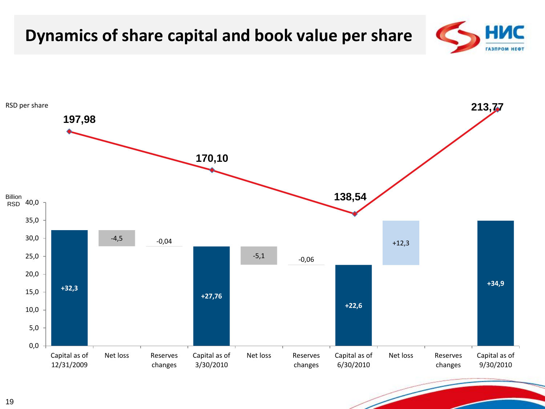#### HMC **Dynamics of share capital and book value per share ГАЗПРОМ НЕФ** RSD per share **213,77197,98 170,10 138,54** Billion 40,0 R<sub>SD</sub> 35,0 30,0  $-4,5$   $-0,04$ +12,3 -5,1 25,0 -0,06 20,0 **+34,9 +32,3** 15,0 **+27,76 +22,6** 10,0 5,0 0,0 Capital as of Capital as of Net loss Reserves Capital as of Net loss Reserves Capital as of Net loss Reserves 12/31/2009 changes 3/30/2010 6/30/2010 9/30/2010 changes changes

#### 19